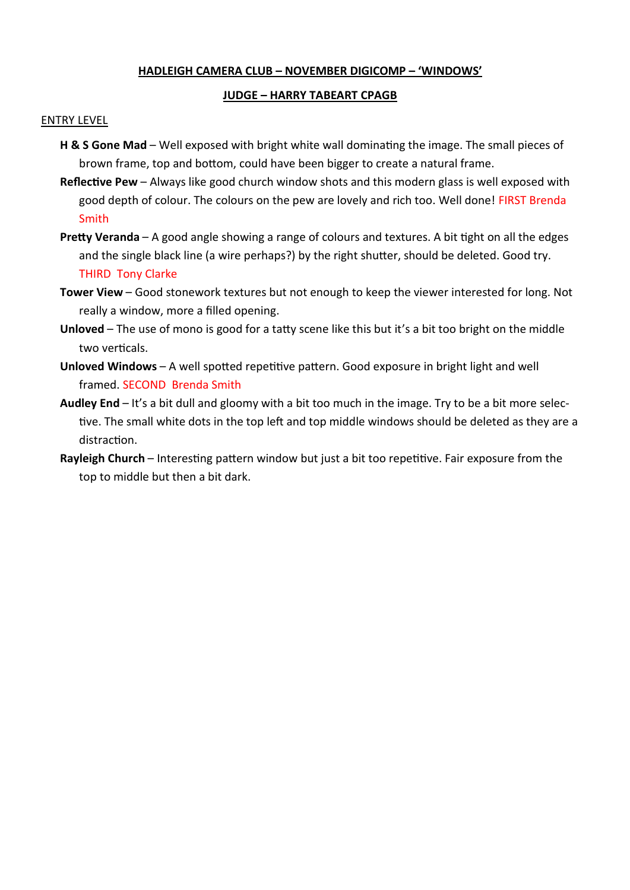## **HADLEIGH CAMERA CLUB – NOVEMBER DIGICOMP – 'WINDOWS'**

## **JUDGE – HARRY TABEART CPAGB**

## ENTRY LEVEL

- **H & S Gone Mad** Well exposed with bright white wall dominating the image. The small pieces of brown frame, top and bottom, could have been bigger to create a natural frame.
- **Reflective Pew** Always like good church window shots and this modern glass is well exposed with good depth of colour. The colours on the pew are lovely and rich too. Well done! FIRST Brenda Smith
- **Pretty Veranda** A good angle showing a range of colours and textures. A bit tight on all the edges and the single black line (a wire perhaps?) by the right shutter, should be deleted. Good try. THIRD Tony Clarke
- **Tower View** Good stonework textures but not enough to keep the viewer interested for long. Not really a window, more a filled opening.
- **Unloved** The use of mono is good for a tatty scene like this but it's a bit too bright on the middle two verticals.
- **Unloved Windows** A well spotted repetitive pattern. Good exposure in bright light and well framed. SECOND Brenda Smith
- **Audley End** It's a bit dull and gloomy with a bit too much in the image. Try to be a bit more selective. The small white dots in the top left and top middle windows should be deleted as they are a distraction.
- **Rayleigh Church** Interesting pattern window but just a bit too repetitive. Fair exposure from the top to middle but then a bit dark.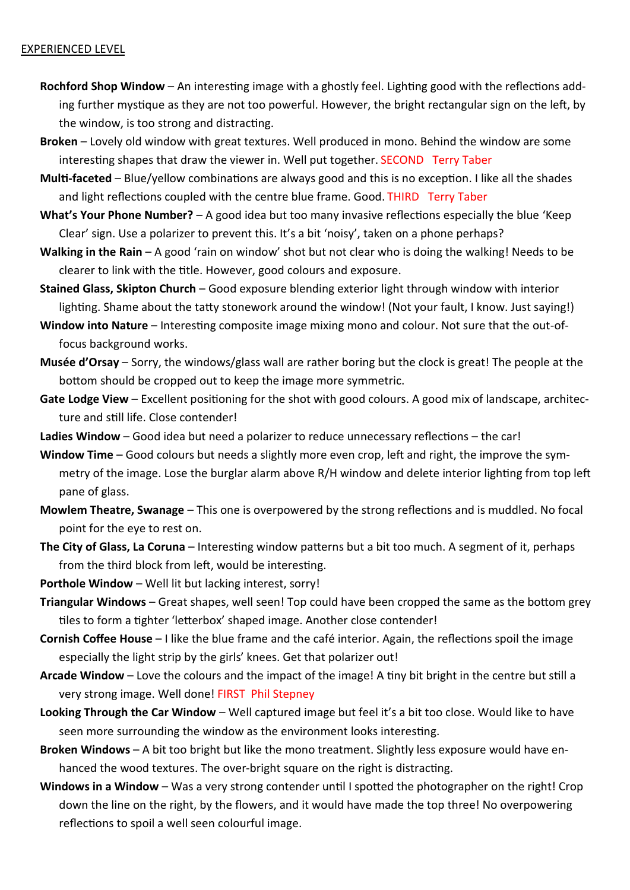## EXPERIENCED LEVEL

- **Rochford Shop Window** An interesting image with a ghostly feel. Lighting good with the reflections adding further mystique as they are not too powerful. However, the bright rectangular sign on the left, by the window, is too strong and distracting.
- **Broken** Lovely old window with great textures. Well produced in mono. Behind the window are some interesting shapes that draw the viewer in. Well put together. SECOND Terry Taber
- **Multi-faceted** Blue/yellow combinations are always good and this is no exception. I like all the shades and light reflections coupled with the centre blue frame. Good. THIRD Terry Taber
- **What's Your Phone Number?** A good idea but too many invasive reflections especially the blue 'Keep Clear' sign. Use a polarizer to prevent this. It's a bit 'noisy', taken on a phone perhaps?
- **Walking in the Rain** A good 'rain on window' shot but not clear who is doing the walking! Needs to be clearer to link with the title. However, good colours and exposure.
- **Stained Glass, Skipton Church** Good exposure blending exterior light through window with interior lighting. Shame about the tatty stonework around the window! (Not your fault, I know. Just saying!)
- **Window into Nature** Interesting composite image mixing mono and colour. Not sure that the out-offocus background works.
- **Musée d'Orsay** Sorry, the windows/glass wall are rather boring but the clock is great! The people at the bottom should be cropped out to keep the image more symmetric.
- **Gate Lodge View** Excellent positioning for the shot with good colours. A good mix of landscape, architecture and still life. Close contender!
- **Ladies Window** Good idea but need a polarizer to reduce unnecessary reflections the car!
- **Window Time** Good colours but needs a slightly more even crop, left and right, the improve the symmetry of the image. Lose the burglar alarm above R/H window and delete interior lighting from top left pane of glass.
- **Mowlem Theatre, Swanage** This one is overpowered by the strong reflections and is muddled. No focal point for the eye to rest on.
- **The City of Glass, La Coruna** Interesting window patterns but a bit too much. A segment of it, perhaps from the third block from left, would be interesting.
- **Porthole Window** Well lit but lacking interest, sorry!
- **Triangular Windows** Great shapes, well seen! Top could have been cropped the same as the bottom grey tiles to form a tighter 'letterbox' shaped image. Another close contender!
- **Cornish Coffee House** I like the blue frame and the café interior. Again, the reflections spoil the image especially the light strip by the girls' knees. Get that polarizer out!
- **Arcade Window** Love the colours and the impact of the image! A tiny bit bright in the centre but still a very strong image. Well done! FIRST Phil Stepney
- **Looking Through the Car Window** Well captured image but feel it's a bit too close. Would like to have seen more surrounding the window as the environment looks interesting.
- **Broken Windows** A bit too bright but like the mono treatment. Slightly less exposure would have enhanced the wood textures. The over-bright square on the right is distracting.
- **Windows in a Window** Was a very strong contender until I spotted the photographer on the right! Crop down the line on the right, by the flowers, and it would have made the top three! No overpowering reflections to spoil a well seen colourful image.